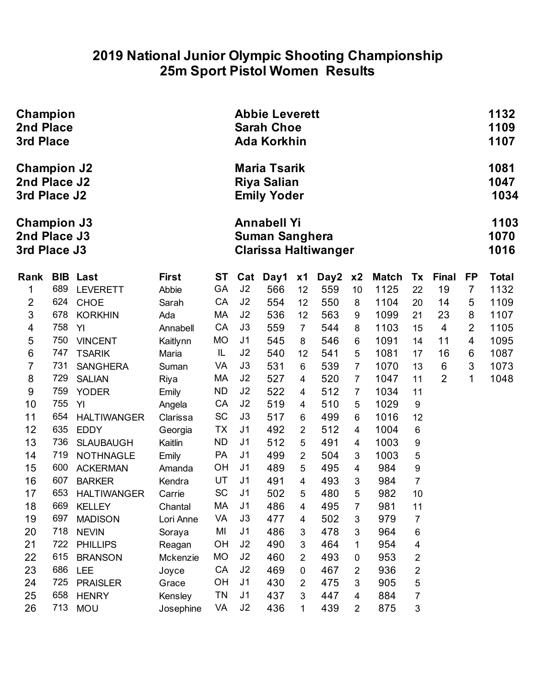#### **2019 National Junior Olympic Shooting Championship 25m Sport Pistol Women Results**

| Champion<br>2nd Place<br>3rd Place                 |            |                                     |                  |                        |                                  |                                                                 | <b>Abbie Leverett</b><br><b>Sarah Choe</b><br><b>Ada Korkhin</b> |                             |                |              |                         |                |                |                      |  |
|----------------------------------------------------|------------|-------------------------------------|------------------|------------------------|----------------------------------|-----------------------------------------------------------------|------------------------------------------------------------------|-----------------------------|----------------|--------------|-------------------------|----------------|----------------|----------------------|--|
| <b>Champion J2</b><br>2nd Place J2<br>3rd Place J2 |            |                                     |                  |                        |                                  | <b>Maria Tsarik</b><br><b>Riya Salian</b><br><b>Emily Yoder</b> |                                                                  |                             |                |              |                         |                |                | 1081<br>1047<br>1034 |  |
| <b>Champion J3</b><br>2nd Place J3<br>3rd Place J3 |            |                                     |                  |                        |                                  | <b>Annabell Yi</b><br><b>Suman Sanghera</b>                     |                                                                  | <b>Clarissa Haltiwanger</b> |                |              |                         |                |                | 1103<br>1070<br>1016 |  |
| Rank                                               | <b>BIB</b> | Last                                | <b>First</b>     | <b>ST</b>              | Cat                              | Day1                                                            | x1                                                               | Day2                        | x <sub>2</sub> | <b>Match</b> | Tx                      | <b>Final</b>   | <b>FP</b>      | <b>Total</b>         |  |
| 1                                                  | 689        | <b>LEVERETT</b>                     | Abbie            | GA                     | J2                               | 566                                                             | 12                                                               | 559                         | 10             | 1125         | 22                      | 19             | $\overline{7}$ | 1132                 |  |
| $\overline{2}$                                     | 624        | <b>CHOE</b>                         | Sarah            | CA                     | J2                               | 554                                                             | 12                                                               | 550                         | 8              | 1104         | 20                      | 14             | 5              | 1109                 |  |
| 3                                                  | 678        | <b>KORKHIN</b>                      | Ada              | MA                     | J2                               | 536                                                             | 12                                                               | 563                         | 9              | 1099         | 21                      | 23             | 8              | 1107                 |  |
| 4                                                  | 758        | YI                                  | Annabell         | CA                     | J3                               | 559                                                             | $\overline{7}$                                                   | 544                         | 8              | 1103         | 15                      | $\overline{4}$ | $\overline{2}$ | 1105                 |  |
| 5                                                  | 750        | <b>VINCENT</b>                      | Kaitlynn         | <b>MO</b>              | J <sub>1</sub>                   | 545                                                             | 8                                                                | 546                         | $6\,$          | 1091         | 14                      | 11             | $\overline{4}$ | 1095                 |  |
| 6                                                  | 747        | <b>TSARIK</b>                       | Maria            | IL                     | J <sub>2</sub>                   | 540                                                             | 12                                                               | 541                         | 5              | 1081         | 17                      | 16             | 6              | 1087                 |  |
| 7                                                  | 731        | <b>SANGHERA</b>                     | Suman            | VA                     | J3                               | 531                                                             | 6                                                                | 539                         | $\overline{7}$ | 1070         | 13                      | 6              | $\mathfrak{B}$ | 1073                 |  |
| $\bf 8$                                            | 729        | <b>SALIAN</b>                       | Riya             | МA                     | J2                               | 527                                                             | 4                                                                | 520                         | 7              | 1047         | 11                      | $\overline{2}$ | $\mathbf{1}$   | 1048                 |  |
| 9                                                  | 759        | <b>YODER</b>                        | Emily            | <b>ND</b>              | J2                               | 522                                                             | 4                                                                | 512                         | $\overline{7}$ | 1034         | 11                      |                |                |                      |  |
| 10                                                 | 755        | YI                                  | Angela           | CA                     | J2                               | 519                                                             | $\overline{4}$                                                   | 510                         | 5              | 1029         | $\boldsymbol{9}$        |                |                |                      |  |
| 11                                                 | 654        | <b>HALTIWANGER</b>                  | Clarissa         | SC                     | J3                               | 517                                                             | 6                                                                | 499                         | 6              | 1016         | 12                      |                |                |                      |  |
| 12                                                 | 635<br>736 | <b>EDDY</b>                         | Georgia          | <b>TX</b><br><b>ND</b> | J <sub>1</sub><br>J <sub>1</sub> | 492                                                             | $\overline{2}$                                                   | 512                         | 4              | 1004         | 6                       |                |                |                      |  |
| 13                                                 | 719        | <b>SLAUBAUGH</b>                    | Kaitlin          | PA                     | J <sub>1</sub>                   | 512                                                             | 5                                                                | 491                         | 4              | 1003         | 9                       |                |                |                      |  |
| 14<br>15                                           | 600        | <b>NOTHNAGLE</b><br><b>ACKERMAN</b> | Emily            | OH                     | J <sub>1</sub>                   | 499<br>489                                                      | $\overline{2}$<br>5                                              | 504<br>495                  | 3              | 1003<br>984  | 5<br>9                  |                |                |                      |  |
| 16                                                 | 607        | <b>BARKER</b>                       | Amanda<br>Kendra | UT                     | J <sub>1</sub>                   | 491                                                             | 4                                                                | 493                         | 4<br>3         | 984          | $\overline{7}$          |                |                |                      |  |
| 17                                                 | 653        | <b>HALTIWANGER</b>                  | Carrie           | SC                     | J <sub>1</sub>                   | 502                                                             | 5                                                                | 480                         | 5              | 982          | 10                      |                |                |                      |  |
| 18                                                 | 669        | <b>KELLEY</b>                       | Chantal          | MA                     | J <sub>1</sub>                   | 486                                                             | 4                                                                | 495                         | 7              | 981          | 11                      |                |                |                      |  |
| 19                                                 | 697        | <b>MADISON</b>                      | Lori Anne        | VA                     | J3                               | 477                                                             | 4                                                                | 502                         | 3              | 979          | 7                       |                |                |                      |  |
| 20                                                 | 718        | <b>NEVIN</b>                        | Soraya           | MI                     | J <sub>1</sub>                   | 486                                                             | 3                                                                | 478                         | 3              | 964          | 6                       |                |                |                      |  |
| 21                                                 | 722        | <b>PHILLIPS</b>                     | Reagan           | OH                     | J2                               | 490                                                             | 3                                                                | 464                         | 1              | 954          | 4                       |                |                |                      |  |
| 22                                                 | 615        | <b>BRANSON</b>                      | Mckenzie         | <b>MO</b>              | J2                               | 460                                                             | 2                                                                | 493                         | 0              | 953          | $\overline{\mathbf{c}}$ |                |                |                      |  |
| 23                                                 | 686        | LEE                                 | Joyce            | CA                     | J2                               | 469                                                             | $\mathbf 0$                                                      | 467                         | $\overline{2}$ | 936          | $\overline{c}$          |                |                |                      |  |
| 24                                                 | 725        | <b>PRAISLER</b>                     | Grace            | OH                     | J <sub>1</sub>                   | 430                                                             | 2                                                                | 475                         | 3              | 905          | 5                       |                |                |                      |  |
| 25                                                 | 658        | <b>HENRY</b>                        | Kensley          | <b>TN</b>              | J <sub>1</sub>                   | 437                                                             | 3                                                                | 447                         | $\overline{4}$ | 884          | 7                       |                |                |                      |  |
| 26                                                 | 713        | <b>MOU</b>                          | Josephine        | VA                     | J2                               | 436                                                             | 1                                                                | 439                         | $\overline{2}$ | 875          | 3                       |                |                |                      |  |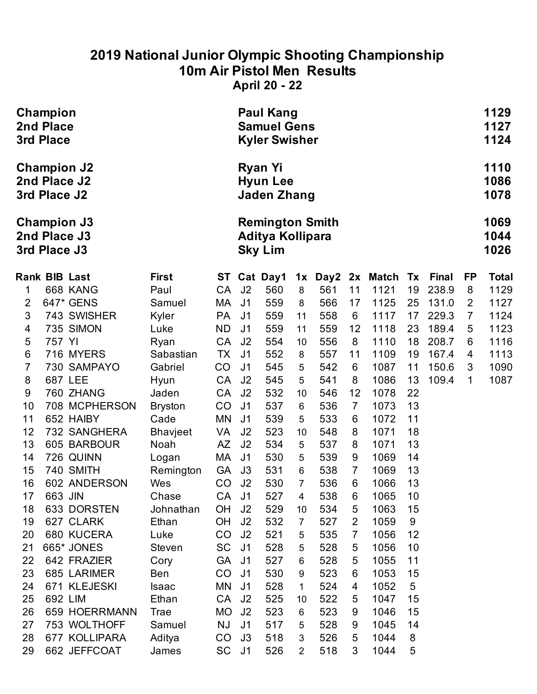# **2019 National Junior Olympic Shooting Championship 10m Air Pistol Men Results**

**April 20 - 22**

|                           | Champion<br><b>2nd Place</b><br>3rd Place |                                    |                      |           | <b>Paul Kang</b><br><b>Samuel Gens</b><br><b>Kyler Swisher</b> |                                                              |                |            |                |                       |          |                       | 1129<br>1127<br>1124 |                      |
|---------------------------|-------------------------------------------|------------------------------------|----------------------|-----------|----------------------------------------------------------------|--------------------------------------------------------------|----------------|------------|----------------|-----------------------|----------|-----------------------|----------------------|----------------------|
|                           | 3rd Place J2                              | <b>Champion J2</b><br>2nd Place J2 |                      |           |                                                                | <b>Ryan Yi</b><br><b>Hyun Lee</b><br><b>Jaden Zhang</b>      |                |            |                |                       |          |                       |                      | 1110<br>1086<br>1078 |
|                           | 3rd Place J3                              | <b>Champion J3</b><br>2nd Place J3 |                      |           |                                                                | <b>Remington Smith</b><br>Aditya Kollipara<br><b>Sky Lim</b> |                |            |                |                       |          |                       |                      | 1069<br>1044<br>1026 |
| <b>Rank BIB Last</b><br>1 |                                           | 668 KANG                           | <b>First</b><br>Paul | CA        | J2                                                             | ST Cat Day1<br>560                                           | 1x<br>8        | 561        | 11             | Day2 2x Match<br>1121 | Tx<br>19 | <b>Final</b><br>238.9 | FP<br>8              | <b>Total</b><br>1129 |
| $\overline{2}$            |                                           | 647* GENS                          | Samuel               | МA        | J <sub>1</sub>                                                 | 559                                                          | 8              | 566        | 17             | 1125                  | 25       | 131.0                 | $\overline{2}$       | 1127                 |
| 3                         |                                           | 743 SWISHER                        | Kyler                | <b>PA</b> | J <sub>1</sub>                                                 | 559                                                          | 11             | 558        | 6              | 1117                  | 17       | 229.3                 | $\overline{7}$       | 1124                 |
| 4                         |                                           | 735 SIMON                          | Luke                 | <b>ND</b> | J <sub>1</sub>                                                 | 559                                                          | 11             | 559        | 12             | 1118                  | 23       | 189.4                 | 5                    | 1123                 |
| 5                         | 757 YI                                    |                                    | Ryan                 | CA        | J <sub>2</sub>                                                 | 554                                                          | 10             | 556        | 8              | 1110                  | 18       | 208.7                 | 6                    | 1116                 |
| 6                         |                                           | 716 MYERS                          | Sabastian            | TX        | J <sub>1</sub>                                                 | 552                                                          | 8              | 557        | 11             | 1109                  | 19       | 167.4                 | 4                    | 1113                 |
| 7                         |                                           | 730 SAMPAYO                        | Gabriel              | CO        | J <sub>1</sub>                                                 | 545                                                          | 5              | 542        | 6              | 1087                  | 11       | 150.6                 | 3                    | 1090                 |
| 8                         |                                           | 687 LEE                            | Hyun                 | CA        | J <sub>2</sub>                                                 | 545                                                          | 5              | 541        | 8              | 1086                  | 13       | 109.4                 | 1                    | 1087                 |
| 9                         |                                           | 760 ZHANG                          | Jaden                | CA        | J <sub>2</sub>                                                 | 532                                                          | 10             | 546        | 12             | 1078                  | 22       |                       |                      |                      |
| 10                        |                                           | 708 MCPHERSON                      | <b>Bryston</b>       | CO        | J <sub>1</sub>                                                 | 537                                                          | 6              | 536        | $\overline{7}$ | 1073                  | 13       |                       |                      |                      |
| 11                        |                                           | 652 HAIBY                          | Cade                 | MN        | J <sub>1</sub>                                                 | 539                                                          | 5              | 533        | 6              | 1072                  | 11       |                       |                      |                      |
| 12                        |                                           | 732 SANGHERA<br>605 BARBOUR        | Bhavjeet             | VA        | J2                                                             | 523                                                          | 10             | 548        | 8              | 1071                  | 18       |                       |                      |                      |
| 13<br>14                  |                                           | 726 QUINN                          | Noah                 | AZ<br>МA  | J2<br>J <sub>1</sub>                                           | 534<br>530                                                   | 5              | 537<br>539 | 8<br>9         | 1071<br>1069          | 13<br>14 |                       |                      |                      |
| 15                        |                                           | 740 SMITH                          | Logan<br>Remington   | <b>GA</b> | J3                                                             | 531                                                          | 5<br>6         | 538        | $\overline{7}$ | 1069                  | 13       |                       |                      |                      |
| 16                        |                                           | 602 ANDERSON                       | Wes                  | CO        | J2                                                             | 530                                                          | $\overline{7}$ | 536        | 6              | 1066                  | 13       |                       |                      |                      |
| 17                        | 663 JIN                                   |                                    | Chase                | CA        | J1                                                             | 527                                                          | 4              | 538        | 6              | 1065                  | 10       |                       |                      |                      |
| 18                        |                                           | 633 DORSTEN                        | Johnathan            | OH        | J <sub>2</sub>                                                 | 529                                                          | 10             | 534        | 5              | 1063                  | 15       |                       |                      |                      |
| 19                        |                                           | 627 CLARK                          | Ethan                | <b>OH</b> | J2                                                             | 532                                                          | $\overline{7}$ | 527        | $\mathbf{2}$   | 1059                  | 9        |                       |                      |                      |
| 20                        |                                           | 680 KUCERA                         | Luke                 | CO        | J <sub>2</sub>                                                 | 521                                                          | 5              | 535        | $\overline{7}$ | 1056                  | 12       |                       |                      |                      |
| 21                        |                                           | 665* JONES                         | <b>Steven</b>        | SC        | J <sub>1</sub>                                                 | 528                                                          | 5              | 528        | 5              | 1056                  | 10       |                       |                      |                      |
| 22                        |                                           | 642 FRAZIER                        | Cory                 | <b>GA</b> | J1                                                             | 527                                                          | 6              | 528        | 5              | 1055                  | 11       |                       |                      |                      |
| 23                        |                                           | 685 LARIMER                        | Ben                  | CO        | J <sub>1</sub>                                                 | 530                                                          | 9              | 523        | 6              | 1053                  | 15       |                       |                      |                      |
| 24                        |                                           | 671 KLEJESKI                       | <b>Isaac</b>         | MN        | J <sub>1</sub>                                                 | 528                                                          | 1              | 524        | 4              | 1052                  | 5        |                       |                      |                      |
| 25                        | 692 LIM                                   |                                    | Ethan                | <b>CA</b> | J <sub>2</sub>                                                 | 525                                                          | 10             | 522        | 5              | 1047                  | 15       |                       |                      |                      |
| 26                        |                                           | 659 HOERRMANN                      | Trae                 | MO        | J2                                                             | 523                                                          | 6              | 523        | 9              | 1046                  | 15       |                       |                      |                      |
| 27                        |                                           | 753 WOLTHOFF                       | Samuel               | <b>NJ</b> | J <sub>1</sub>                                                 | 517                                                          | 5              | 528        | 9              | 1045                  | 14       |                       |                      |                      |
| 28                        |                                           | 677 KOLLIPARA                      | Aditya               | CO        | J3                                                             | 518                                                          | 3              | 526        | 5              | 1044                  | 8        |                       |                      |                      |
| 29                        |                                           | 662 JEFFCOAT                       | James                | SC J1     |                                                                | 526                                                          | $\overline{2}$ | 518        | 3              | 1044                  | 5        |                       |                      |                      |
|                           |                                           |                                    |                      |           |                                                                |                                                              |                |            |                |                       |          |                       |                      |                      |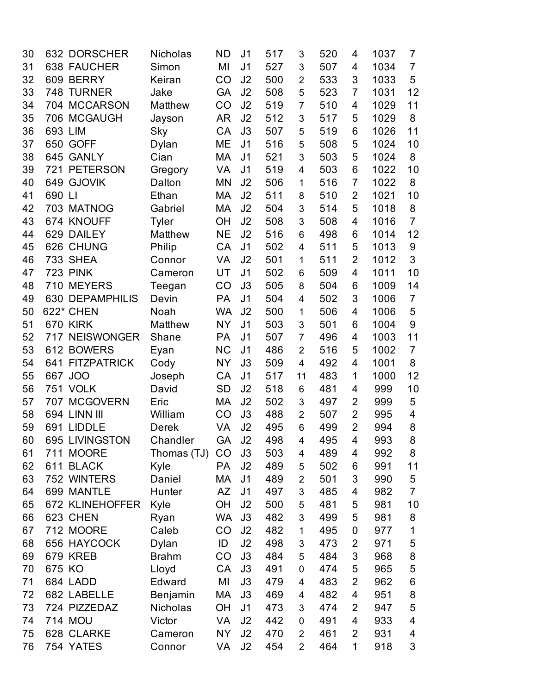| 30 |         | 632 DORSCHER           | Nicholas     | ND        | J <sub>1</sub> | 517 | 3              | 520 | 4              | 1037 | 7              |
|----|---------|------------------------|--------------|-----------|----------------|-----|----------------|-----|----------------|------|----------------|
| 31 |         | 638 FAUCHER            | Simon        | MI        | J <sub>1</sub> | 527 | 3              | 507 | 4              | 1034 | $\overline{7}$ |
| 32 |         | 609 BERRY              | Keiran       | CO        | J2             | 500 | 2              | 533 | 3              | 1033 | 5              |
| 33 | 748     | <b>TURNER</b>          | Jake         | <b>GA</b> | J2             | 508 | 5              | 523 | $\overline{7}$ | 1031 | 12             |
| 34 |         | 704 MCCARSON           | Matthew      | CO        | J2             | 519 | $\overline{7}$ | 510 | 4              | 1029 | 11             |
| 35 |         | 706 MCGAUGH            | Jayson       | <b>AR</b> | J2             | 512 | 3              | 517 | 5              | 1029 | 8              |
| 36 | 693 LIM |                        | Sky          | CA        | J3             | 507 | 5              | 519 | 6              | 1026 | 11             |
| 37 |         | 650 GOFF               | Dylan        | ME        | J <sub>1</sub> | 516 | 5              | 508 | 5              | 1024 | 10             |
| 38 |         | 645 GANLY              | Cian         | MA        | J <sub>1</sub> | 521 | 3              | 503 | 5              | 1024 | 8              |
| 39 |         | 721 PETERSON           | Gregory      | VA        | J <sub>1</sub> | 519 | 4              | 503 | 6              | 1022 | 10             |
| 40 |         | 649 GJOVIK             | Dalton       | <b>MN</b> | J2             | 506 | 1              | 516 | 7              | 1022 | 8              |
| 41 | 690 LI  |                        | Ethan        | MA        | J2             | 511 | 8              | 510 | $\overline{2}$ | 1021 | 10             |
| 42 |         | 703 MATNOG             | Gabriel      | MA        | J2             | 504 | 3              | 514 | 5              | 1018 | 8              |
| 43 |         | 674 KNOUFF             | <b>Tyler</b> | OH        | J2             | 508 | 3              | 508 | 4              | 1016 | $\overline{7}$ |
| 44 |         | 629 DAILEY             | Matthew      | <b>NE</b> | J2             | 516 | 6              | 498 | 6              | 1014 | 12             |
| 45 |         | 626 CHUNG              | Philip       | CA        | J <sub>1</sub> | 502 | 4              | 511 | 5              | 1013 | 9              |
| 46 |         | <b>733 SHEA</b>        | Connor       | VA        | J2             | 501 | 1              | 511 | $\overline{2}$ | 1012 | 3              |
| 47 |         | <b>723 PINK</b>        | Cameron      | UT        | J <sub>1</sub> | 502 | 6              | 509 | 4              | 1011 | 10             |
| 48 |         | 710 MEYERS             | Teegan       | CO        | J3             | 505 | 8              | 504 | 6              | 1009 | 14             |
| 49 |         | 630 DEPAMPHILIS        | Devin        | PA        | J <sub>1</sub> | 504 | 4              | 502 | 3              | 1006 | $\overline{7}$ |
| 50 |         | 622* CHEN              | Noah         | <b>WA</b> | J2             | 500 | 1              | 506 | 4              | 1006 | 5              |
| 51 |         | 670 KIRK               | Matthew      | <b>NY</b> | J <sub>1</sub> | 503 | 3              | 501 | 6              | 1004 | 9              |
| 52 |         | 717 NEISWONGER         | Shane        | PA        | J <sub>1</sub> | 507 | $\overline{7}$ | 496 | 4              | 1003 | 11             |
| 53 |         | 612 BOWERS             | Eyan         | <b>NC</b> | J <sub>1</sub> | 486 | $\overline{2}$ | 516 | 5              | 1002 | $\overline{7}$ |
| 54 |         | <b>641 FITZPATRICK</b> | Cody         | <b>NY</b> | J3             | 509 | 4              | 492 | 4              | 1001 | 8              |
| 55 | 667     | <b>JOO</b>             | Joseph       | CA        | J <sub>1</sub> | 517 | 11             | 483 | 1              | 1000 | 12             |
| 56 |         | 751 VOLK               | David        | <b>SD</b> | J2             | 518 | 6              | 481 | 4              | 999  | 10             |
| 57 |         | 707 MCGOVERN           | Eric         | МA        | J2             | 502 | 3              | 497 | $\overline{2}$ | 999  | 5              |
| 58 |         | 694 LINN III           | William      | CO        | J3             | 488 | $\overline{2}$ | 507 | $\overline{2}$ | 995  | 4              |
| 59 |         | 691 LIDDLE             | <b>Derek</b> | VA        | J2             | 495 | 6              | 499 | $\overline{2}$ | 994  | 8              |
| 60 |         | 695 LIVINGSTON         | Chandler     | <b>GA</b> | J <sub>2</sub> | 498 | 4              | 495 | 4              | 993  | 8              |
| 61 |         | 711 MOORE              | Thomas (TJ)  | CO        | J3             | 503 | 4              | 489 | 4              | 992  | 8              |
| 62 |         | 611 BLACK              | Kyle         | PA        | J2             | 489 | 5              | 502 | 6              | 991  | 11             |
| 63 |         | 752 WINTERS            | Daniel       | MA        | J <sub>1</sub> | 489 | $\overline{c}$ | 501 | 3              | 990  | 5              |
| 64 |         | 699 MANTLE             | Hunter       | AΖ        | J <sub>1</sub> | 497 | 3              | 485 | 4              | 982  | $\overline{7}$ |
| 65 |         | 672 KLINEHOFFER        | Kyle         | OH        | J2             | 500 | 5              | 481 | 5              | 981  | 10             |
| 66 |         | 623 CHEN               | Ryan         | <b>WA</b> | J3             | 482 | 3              | 499 | 5              | 981  | 8              |
| 67 |         | 712 MOORE              | Caleb        | CO        | J2             | 482 | 1              | 495 | 0              | 977  | 1              |
| 68 |         | 656 HAYCOCK            | Dylan        | ID        | J2             | 498 | 3              | 473 | $\overline{2}$ | 971  | 5              |
| 69 |         | 679 KREB               | <b>Brahm</b> | CO        | J3             | 484 | 5              | 484 | 3              | 968  | $\bf 8$        |
| 70 | 675 KO  |                        | Lloyd        | CA        | J3             | 491 | 0              | 474 | 5              | 965  | 5              |
| 71 |         | 684 LADD               | Edward       | MI        | J3             | 479 | 4              | 483 | $\overline{2}$ | 962  | 6              |
| 72 |         | 682 LABELLE            | Benjamin     | MA        | J3             | 469 | 4              | 482 | 4              | 951  | 8              |
| 73 |         | 724 PIZZEDAZ           | Nicholas     | OH        | J <sub>1</sub> | 473 | 3              | 474 | 2              | 947  | 5              |
| 74 |         | 714 MOU                | Victor       | VA        | J2             | 442 | 0              | 491 | 4              | 933  | 4              |
| 75 |         | 628 CLARKE             | Cameron      | NY        | J2             | 470 | 2              | 461 | 2              | 931  | 4              |
| 76 |         | 754 YATES              | Connor       | VA        | J2             | 454 | $\overline{2}$ | 464 | 1              | 918  | $\sqrt{3}$     |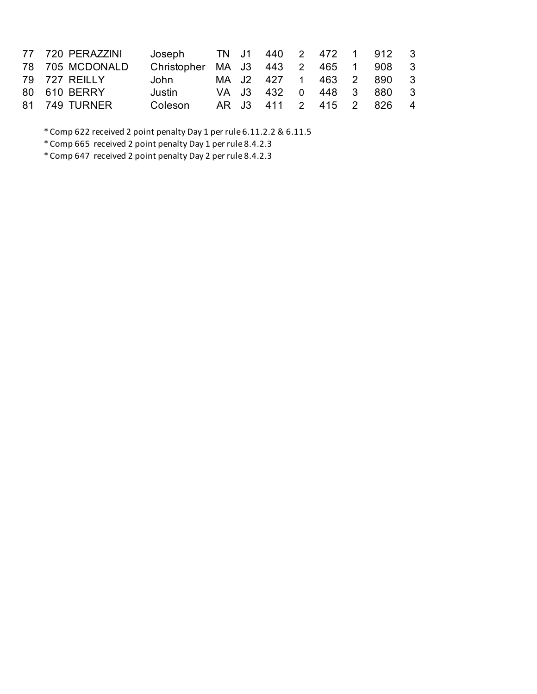| 77 720 PERAZZINI | Joseph TN J1 440 2 472 1 912 3      |  |  |  |                         |  |
|------------------|-------------------------------------|--|--|--|-------------------------|--|
| 78 705 MCDONALD  | Christopher MA J3 443 2 465 1 908 3 |  |  |  |                         |  |
| 79 727 REILLY    | John                                |  |  |  | MA J2 427 1 463 2 890 3 |  |
| 80 610 BERRY     | Justin                              |  |  |  | VA J3 432 0 448 3 880 3 |  |
| 81 749 TURNER    | Coleson                             |  |  |  | AR J3 411 2 415 2 826 4 |  |

\* Comp 622 received 2 point penalty Day 1 per rule 6.11.2.2 & 6.11.5

\* Comp 665 received 2 point penalty Day 1 per rule 8.4.2.3

\* Comp 647 received 2 point penalty Day 2 per rule 8.4.2.3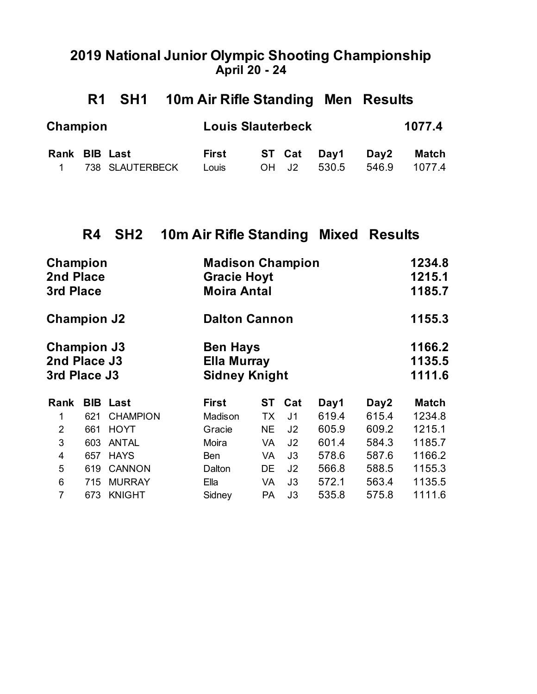#### **2019 National Junior Olympic Shooting Championship April 20 - 24**

### **R1 SH1 10m Air Rifle Standing Men Results**

| Champion      |                   | <b>Louis Slauterbeck</b> |       |             | 1077.4 |        |  |  |
|---------------|-------------------|--------------------------|-------|-------------|--------|--------|--|--|
| Rank BIB Last |                   | First                    |       | ST Cat Day1 | Day2   | Match  |  |  |
|               | 1 738 SLAUTERBECK | Louis                    | OH J2 | 530.5       | 546.9  | 1077.4 |  |  |

## **R4 SH2 10m Air Rifle Standing Mixed Results**

| 3rd Place                                          |                 |                                                     |           |                                                                                   |                                              |                         | 1234.8<br>1215.1<br>1185.7 |
|----------------------------------------------------|-----------------|-----------------------------------------------------|-----------|-----------------------------------------------------------------------------------|----------------------------------------------|-------------------------|----------------------------|
|                                                    |                 |                                                     |           |                                                                                   |                                              |                         | 1155.3                     |
| <b>Champion J3</b><br>2nd Place J3<br>3rd Place J3 |                 |                                                     |           |                                                                                   | 1166.2<br>1135.5<br>1111.6                   |                         |                            |
| <b>BIB</b>                                         |                 | <b>First</b>                                        | ST        | Cat                                                                               | Day1                                         | Day2                    | <b>Match</b>               |
| 621                                                | <b>CHAMPION</b> | Madison                                             | TX        | J <sub>1</sub>                                                                    | 619.4                                        | 615.4                   | 1234.8                     |
| 661                                                | <b>HOYT</b>     | Gracie                                              | <b>NE</b> | J <sub>2</sub>                                                                    | 605.9                                        | 609.2                   | 1215.1                     |
| 603                                                | <b>ANTAL</b>    | Moira                                               | VA        | J <sub>2</sub>                                                                    | 601.4                                        | 584.3                   | 1185.7                     |
| 657                                                | <b>HAYS</b>     | Ben                                                 | VA        | J3                                                                                | 578.6                                        | 587.6                   | 1166.2                     |
| 619                                                | <b>CANNON</b>   | Dalton                                              | DE        | J <sub>2</sub>                                                                    | 566.8                                        | 588.5                   | 1155.3                     |
| 715                                                | <b>MURRAY</b>   | Ella                                                | VA        | J3                                                                                | 572.1                                        | 563.4                   | 1135.5                     |
| 673                                                | <b>KNIGHT</b>   | Sidney                                              | PA        | J3                                                                                | 535.8                                        | 575.8                   | 1111.6                     |
|                                                    |                 | Champion<br>2nd Place<br><b>Champion J2</b><br>Last |           | <b>Gracie Hoyt</b><br><b>Moira Antal</b><br><b>Ben Hays</b><br><b>Ella Murray</b> | <b>Dalton Cannon</b><br><b>Sidney Knight</b> | <b>Madison Champion</b> |                            |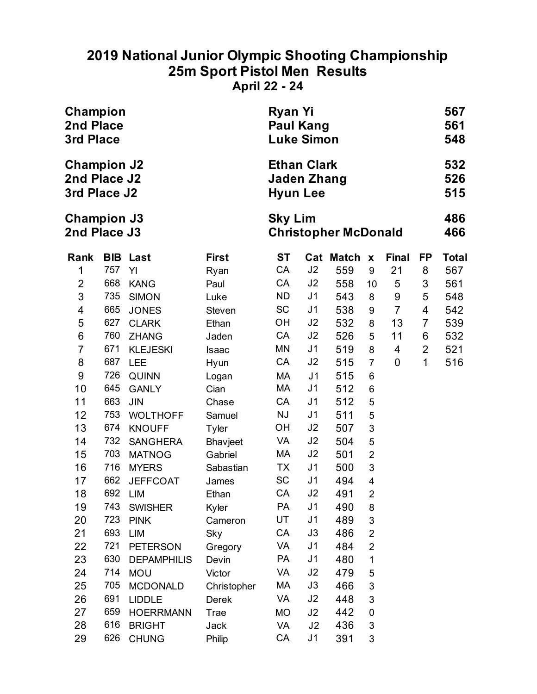### **2019 National Junior Olympic Shooting Championship 25m Sport Pistol Men Results April 22 - 24**

| Champion<br><b>Ryan Yi</b><br><b>Paul Kang</b><br><b>2nd Place</b><br>3rd Place<br><b>Luke Simon</b> |     |                    |              |                                                             |                |                             |                           |                |    | 567<br>561<br>548 |
|------------------------------------------------------------------------------------------------------|-----|--------------------|--------------|-------------------------------------------------------------|----------------|-----------------------------|---------------------------|----------------|----|-------------------|
| <b>Champion J2</b><br>2nd Place J2<br>3rd Place J2                                                   |     |                    |              | <b>Ethan Clark</b><br><b>Jaden Zhang</b><br><b>Hyun Lee</b> |                |                             |                           |                |    | 532<br>526<br>515 |
| <b>Champion J3</b><br>2nd Place J3                                                                   |     |                    |              | <b>Sky Lim</b>                                              |                | <b>Christopher McDonald</b> |                           |                |    | 486<br>466        |
| Rank                                                                                                 |     | <b>BIB Last</b>    | <b>First</b> | <b>ST</b>                                                   | Cat            | <b>Match</b>                | $\pmb{\mathsf{X}}$        | <b>Final</b>   | FP | <b>Total</b>      |
| 1                                                                                                    | 757 | YI                 | Ryan         | CA                                                          | J2             | 559                         | 9                         | 21             | 8  | 567               |
| $\overline{2}$                                                                                       | 668 | <b>KANG</b>        | Paul         | CA                                                          | J2             | 558                         | 10                        | 5              | 3  | 561               |
| 3                                                                                                    | 735 | <b>SIMON</b>       | Luke         | ND.                                                         | J1             | 543                         | 8                         | 9              | 5  | 548               |
| 4                                                                                                    | 665 | <b>JONES</b>       | Steven       | <b>SC</b>                                                   | J1             | 538                         | 9                         | $\overline{7}$ | 4  | 542               |
| 5                                                                                                    | 627 | <b>CLARK</b>       | Ethan        | OH                                                          | J <sub>2</sub> | 532                         | 8                         | 13             | 7  | 539               |
| 6                                                                                                    | 760 | <b>ZHANG</b>       | Jaden        | CA                                                          | J2             | 526                         | 5                         | 11             | 6  | 532               |
| 7                                                                                                    | 671 | <b>KLEJESKI</b>    | <b>Isaac</b> | ΜN                                                          | J <sub>1</sub> | 519                         | 8                         | 4              | 2  | 521               |
| 8                                                                                                    | 687 | <b>LEE</b>         | Hyun         | CA                                                          | J <sub>2</sub> | 515                         | $\overline{7}$            | 0              | 1  | 516               |
| 9                                                                                                    | 726 | <b>QUINN</b>       | Logan        | МA                                                          | J <sub>1</sub> | 515                         | 6                         |                |    |                   |
| 10                                                                                                   | 645 | <b>GANLY</b>       | Cian         | МA                                                          | J <sub>1</sub> | 512                         | 6                         |                |    |                   |
| 11                                                                                                   | 663 | <b>JIN</b>         | Chase        | CA                                                          | J1             | 512                         | 5                         |                |    |                   |
| 12                                                                                                   | 753 | <b>WOLTHOFF</b>    | Samuel       | <b>NJ</b>                                                   | J <sub>1</sub> | 511                         | 5                         |                |    |                   |
| 13                                                                                                   | 674 | <b>KNOUFF</b>      | Tyler        | ОH                                                          | J2             | 507                         | 3                         |                |    |                   |
| 14                                                                                                   | 732 | <b>SANGHERA</b>    | Bhavjeet     | <b>VA</b>                                                   | J2             | 504                         | 5                         |                |    |                   |
| 15                                                                                                   | 703 | <b>MATNOG</b>      | Gabriel      | МA                                                          | J2             | 501                         | $\overline{2}$            |                |    |                   |
| 16                                                                                                   | 716 | <b>MYERS</b>       | Sabastian    | <b>TX</b>                                                   | J <sub>1</sub> | 500                         | 3                         |                |    |                   |
| 17                                                                                                   | 662 | <b>JEFFCOAT</b>    | James        | <b>SC</b>                                                   | J <sub>1</sub> | 494                         | 4                         |                |    |                   |
| 18                                                                                                   | 692 | LIM                | Ethan        | CA                                                          | J <sub>2</sub> | 491                         | $\overline{2}$            |                |    |                   |
| 19                                                                                                   | 743 | <b>SWISHER</b>     | Kyler        | <b>PA</b>                                                   | J1             | 490                         | 8                         |                |    |                   |
| 20                                                                                                   | 723 | <b>PINK</b>        | Cameron      | UT                                                          | J <sub>1</sub> | 489                         | $\ensuremath{\mathsf{3}}$ |                |    |                   |
| 21                                                                                                   | 693 | <b>LIM</b>         | Sky          | CA                                                          | J3             | 486                         | $\overline{2}$            |                |    |                   |
| 22                                                                                                   | 721 | <b>PETERSON</b>    | Gregory      | VA                                                          | J <sub>1</sub> | 484                         | $\overline{2}$            |                |    |                   |
| 23                                                                                                   | 630 | <b>DEPAMPHILIS</b> | Devin        | PA                                                          | J1             | 480                         | 1                         |                |    |                   |
| 24                                                                                                   | 714 | <b>MOU</b>         | Victor       | VA                                                          | J <sub>2</sub> | 479                         | 5                         |                |    |                   |
| 25                                                                                                   | 705 | <b>MCDONALD</b>    | Christopher  | МA                                                          | J3             | 466                         | 3                         |                |    |                   |
| 26                                                                                                   | 691 | <b>LIDDLE</b>      | Derek        | VA                                                          | J2             | 448                         | 3                         |                |    |                   |
| 27                                                                                                   | 659 | <b>HOERRMANN</b>   | Trae         | <b>MO</b>                                                   | J2             | 442                         | 0                         |                |    |                   |
| 28                                                                                                   | 616 | <b>BRIGHT</b>      | Jack         | VA                                                          | J2             | 436                         | 3                         |                |    |                   |
| 29                                                                                                   | 626 | <b>CHUNG</b>       | Philip       | CA                                                          | J1             | 391                         | 3                         |                |    |                   |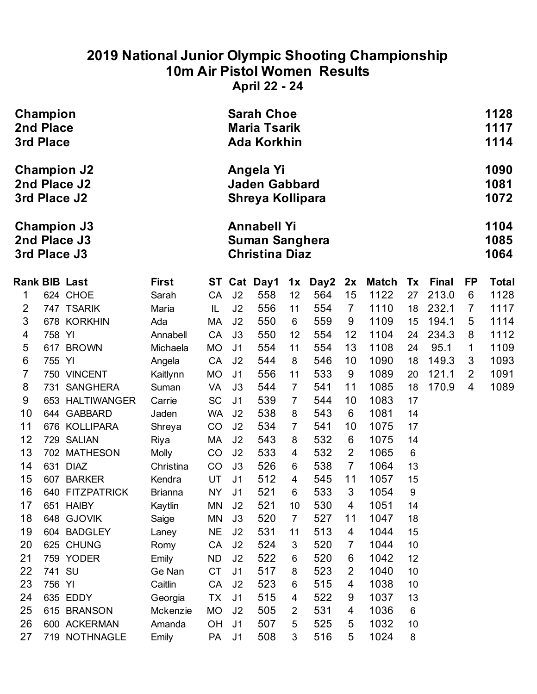### **2019 National Junior Olympic Shooting Championship 10m Air Pistol Women Results**

**April 22 - 24**

| Champion<br>2nd Place<br>3rd Place |        |                                                    |                | <b>Sarah Choe</b><br><b>Maria Tsarik</b><br><b>Ada Korkhin</b> |                |                                                                      |                |      |                |              |       |              | 1128<br>1117<br>1114 |                      |
|------------------------------------|--------|----------------------------------------------------|----------------|----------------------------------------------------------------|----------------|----------------------------------------------------------------------|----------------|------|----------------|--------------|-------|--------------|----------------------|----------------------|
|                                    |        | <b>Champion J2</b><br>2nd Place J2<br>3rd Place J2 |                |                                                                |                | Angela Yi<br><b>Jaden Gabbard</b><br>Shreya Kollipara                |                |      |                |              |       |              |                      | 1090<br>1081<br>1072 |
|                                    |        | <b>Champion J3</b><br>2nd Place J3<br>3rd Place J3 |                |                                                                |                | <b>Annabell Yi</b><br><b>Suman Sanghera</b><br><b>Christina Diaz</b> |                |      |                |              |       |              |                      | 1104<br>1085<br>1064 |
|                                    |        | <b>Rank BIB Last</b>                               | <b>First</b>   | ST                                                             |                | Cat Day1                                                             | 1x             | Day2 | 2x             | <b>Match</b> | Tx    | <b>Final</b> | <b>FP</b>            | <b>Total</b>         |
| 1                                  |        | 624 CHOE                                           | Sarah          | CA                                                             | J <sub>2</sub> | 558                                                                  | 12             | 564  | 15             | 1122         | 27    | 213.0        | 6                    | 1128                 |
| $\overline{2}$                     |        | 747 TSARIK                                         | Maria          | IL                                                             | J <sub>2</sub> | 556                                                                  | 11             | 554  | $\overline{7}$ | 1110         | 18    | 232.1        | 7                    | 1117                 |
| $\mathfrak{S}$                     |        | 678 KORKHIN                                        | Ada            | MA                                                             | J <sub>2</sub> | 550                                                                  | 6              | 559  | 9              | 1109         | 15    | 194.1        | 5                    | 1114                 |
| 4                                  | 758 YI |                                                    | Annabell       | CA                                                             | J3             | 550                                                                  | 12             | 554  | 12             | 1104         | 24    | 234.3        | 8                    | 1112                 |
| 5                                  |        | 617 BROWN                                          | Michaela       | <b>MO</b>                                                      | J <sub>1</sub> | 554                                                                  | 11             | 554  | 13             | 1108         | 24    | 95.1         | 1                    | 1109                 |
| $6\phantom{1}6$                    | 755 YI |                                                    | Angela         | CA                                                             | J <sub>2</sub> | 544                                                                  | 8              | 546  | 10             | 1090         | 18    | 149.3        | 3                    | 1093                 |
| $\overline{7}$                     |        | 750 VINCENT                                        | Kaitlynn       | <b>MO</b>                                                      | J <sub>1</sub> | 556                                                                  | 11             | 533  | 9              | 1089         | 20    | 121.1        | $\overline{2}$       | 1091                 |
| 8                                  | 731    | <b>SANGHERA</b>                                    | Suman          | <b>VA</b>                                                      | J3             | 544                                                                  | $\overline{7}$ | 541  | 11             | 1085         | 18    | 170.9        | 4                    | 1089                 |
| 9                                  |        | 653 HALTIWANGER                                    | Carrie         | <b>SC</b>                                                      | J <sub>1</sub> | 539                                                                  | $\overline{7}$ | 544  | 10             | 1083         | 17    |              |                      |                      |
| 10                                 |        | 644 GABBARD                                        | Jaden          | <b>WA</b>                                                      | J <sub>2</sub> | 538                                                                  | 8              | 543  | 6              | 1081         | 14    |              |                      |                      |
| 11                                 |        | 676 KOLLIPARA                                      | Shreya         | CO                                                             | J <sub>2</sub> | 534                                                                  | $\overline{7}$ | 541  | 10             | 1075         | 17    |              |                      |                      |
| 12                                 |        | 729 SALIAN                                         | Riya           | MA                                                             | J <sub>2</sub> | 543                                                                  | 8              | 532  | 6              | 1075         | 14    |              |                      |                      |
| 13                                 |        | 702 MATHESON                                       | <b>Molly</b>   | CO                                                             | J <sub>2</sub> | 533                                                                  | 4              | 532  | $\overline{2}$ | 1065         | $6\,$ |              |                      |                      |
| 14                                 |        | 631 DIAZ                                           | Christina      | CO                                                             | J3             | 526                                                                  | 6              | 538  | $\overline{7}$ | 1064         | 13    |              |                      |                      |
| 15                                 |        | 607 BARKER                                         | Kendra         | UT                                                             | J <sub>1</sub> | 512                                                                  | 4              | 545  | 11             | 1057         | 15    |              |                      |                      |
| 16                                 |        | <b>640 FITZPATRICK</b>                             | <b>Brianna</b> | <b>NY</b>                                                      | J <sub>1</sub> | 521                                                                  | 6              | 533  | 3              | 1054         | 9     |              |                      |                      |
| 17                                 |        | 651 HAIBY                                          | Kaytlin        | <b>MN</b>                                                      | J <sub>2</sub> | 521                                                                  | 10             | 530  | 4              | 1051         | 14    |              |                      |                      |
| 18                                 |        | 648 GJOVIK                                         | Saige          | MN                                                             | J3             | 520                                                                  | $\overline{7}$ | 527  | 11             | 1047         | 18    |              |                      |                      |
| 19                                 |        | 604 BADGLEY                                        | Laney          | <b>NE</b>                                                      | J <sub>2</sub> | 531                                                                  | 11             | 513  | 4              | 1044         | 15    |              |                      |                      |
| 20                                 |        | 625 CHUNG                                          | Romy           | CA                                                             | J <sub>2</sub> | 524                                                                  | 3              | 520  | $\overline{7}$ | 1044         | 10    |              |                      |                      |
| 21                                 |        | 759 YODER                                          | Emily          | <b>ND</b>                                                      | J <sub>2</sub> | 522                                                                  | 6              | 520  | 6              | 1042         | 12    |              |                      |                      |
| 22                                 | 741 SU |                                                    | Ge Nan         | <b>CT</b>                                                      | J <sub>1</sub> | 517                                                                  | 8              | 523  | 2              | 1040         | 10    |              |                      |                      |
| 23                                 | 756 YI |                                                    | Caitlin        | CA                                                             | J <sub>2</sub> | 523                                                                  | 6              | 515  | 4              | 1038         | 10    |              |                      |                      |
| 24                                 |        | 635 EDDY                                           | Georgia        | <b>TX</b>                                                      | J <sub>1</sub> | 515                                                                  | 4              | 522  | 9              | 1037         | 13    |              |                      |                      |
| 25                                 |        | 615 BRANSON                                        | Mckenzie       | <b>MO</b>                                                      | J <sub>2</sub> | 505                                                                  | $\overline{2}$ | 531  | 4              | 1036         | 6     |              |                      |                      |
| 26                                 |        | 600 ACKERMAN                                       | Amanda         | OH                                                             | J <sub>1</sub> | 507                                                                  | 5              | 525  | 5              | 1032         | 10    |              |                      |                      |
| 27                                 |        | 719 NOTHNAGLE                                      | Emily          | PA                                                             | J <sub>1</sub> | 508                                                                  | 3              | 516  | 5              | 1024         | 8     |              |                      |                      |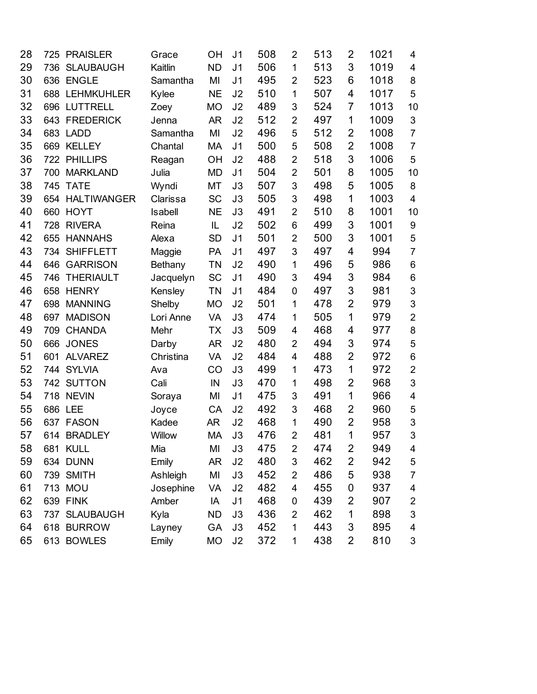| 28 | 725 | <b>PRAISLER</b>  | Grace     | OH        | J <sub>1</sub> | 508 | $\overline{2}$ | 513 | $\overline{2}$ | 1021 | 4                       |
|----|-----|------------------|-----------|-----------|----------------|-----|----------------|-----|----------------|------|-------------------------|
| 29 | 736 | <b>SLAUBAUGH</b> | Kaitlin   | <b>ND</b> | J <sub>1</sub> | 506 | 1              | 513 | 3              | 1019 | $\overline{\mathbf{4}}$ |
| 30 | 636 | <b>ENGLE</b>     | Samantha  | MI        | J <sub>1</sub> | 495 | $\overline{2}$ | 523 | 6              | 1018 | 8                       |
| 31 |     | 688 LEHMKUHLER   | Kylee     | <b>NE</b> | J2             | 510 | 1              | 507 | 4              | 1017 | 5                       |
| 32 |     | 696 LUTTRELL     | Zoey      | MO        | J2             | 489 | 3              | 524 | 7              | 1013 | 10                      |
| 33 |     | 643 FREDERICK    | Jenna     | AR        | J2             | 512 | $\overline{2}$ | 497 | 1              | 1009 | $\mathfrak{S}$          |
| 34 |     | 683 LADD         | Samantha  | MI        | J2             | 496 | 5              | 512 | 2              | 1008 | $\overline{7}$          |
| 35 |     | 669 KELLEY       | Chantal   | МA        | J <sub>1</sub> | 500 | 5              | 508 | $\overline{2}$ | 1008 | $\overline{7}$          |
| 36 |     | 722 PHILLIPS     | Reagan    | <b>OH</b> | J2             | 488 | $\overline{2}$ | 518 | 3              | 1006 | 5                       |
| 37 | 700 | <b>MARKLAND</b>  | Julia     | MD        | J <sub>1</sub> | 504 | $\overline{2}$ | 501 | 8              | 1005 | 10                      |
| 38 |     | 745 TATE         | Wyndi     | МT        | J3             | 507 | 3              | 498 | 5              | 1005 | 8                       |
| 39 |     | 654 HALTIWANGER  | Clarissa  | <b>SC</b> | J3             | 505 | 3              | 498 | 1              | 1003 | 4                       |
| 40 | 660 | <b>HOYT</b>      | Isabell   | NE        | J3             | 491 | $\overline{2}$ | 510 | 8              | 1001 | 10                      |
| 41 | 728 | <b>RIVERA</b>    | Reina     | IL        | J2             | 502 | 6              | 499 | 3              | 1001 | 9                       |
| 42 | 655 | <b>HANNAHS</b>   | Alexa     | <b>SD</b> | J <sub>1</sub> | 501 | $\overline{2}$ | 500 | 3              | 1001 | 5                       |
| 43 | 734 | <b>SHIFFLETT</b> | Maggie    | PA        | J <sub>1</sub> | 497 | 3              | 497 | 4              | 994  | $\overline{7}$          |
| 44 | 646 | <b>GARRISON</b>  | Bethany   | ΤN        | J2             | 490 | 1              | 496 | 5              | 986  | 6                       |
| 45 | 746 | <b>THERIAULT</b> | Jacquelyn | <b>SC</b> | J <sub>1</sub> | 490 | 3              | 494 | 3              | 984  | $\,6$                   |
| 46 | 658 | <b>HENRY</b>     | Kensley   | ΤN        | J <sub>1</sub> | 484 | $\mathbf 0$    | 497 | 3              | 981  | 3                       |
| 47 | 698 | <b>MANNING</b>   | Shelby    | <b>MO</b> | J2             | 501 | 1              | 478 | $\overline{2}$ | 979  | 3                       |
| 48 | 697 | <b>MADISON</b>   | Lori Anne | VA        | J3             | 474 | 1              | 505 | 1              | 979  | $\overline{2}$          |
| 49 | 709 | <b>CHANDA</b>    | Mehr      | ТX        | J3             | 509 | 4              | 468 | 4              | 977  | 8                       |
| 50 | 666 | <b>JONES</b>     | Darby     | AR        | J2             | 480 | $\overline{2}$ | 494 | 3              | 974  | 5                       |
| 51 | 601 | <b>ALVAREZ</b>   | Christina | VA        | J2             | 484 | 4              | 488 | $\overline{2}$ | 972  | $6\phantom{1}6$         |
| 52 | 744 | <b>SYLVIA</b>    | Ava       | CO        | J3             | 499 | 1              | 473 | 1              | 972  | $\overline{2}$          |
| 53 |     | 742 SUTTON       | Cali      | IN        | J3             | 470 | 1              | 498 | 2              | 968  | 3                       |
| 54 |     | 718 NEVIN        | Soraya    | MI        | J <sub>1</sub> | 475 | 3              | 491 | 1              | 966  | 4                       |
| 55 | 686 | <b>LEE</b>       | Joyce     | CA        | J2             | 492 | 3              | 468 | $\overline{2}$ | 960  | 5                       |
| 56 | 637 | <b>FASON</b>     | Kadee     | <b>AR</b> | J2             | 468 | 1              | 490 | $\overline{2}$ | 958  | 3                       |
| 57 | 614 | <b>BRADLEY</b>   | Willow    | <b>MA</b> | J3             | 476 | $\overline{2}$ | 481 | 1              | 957  | 3                       |
| 58 |     | 681 KULL         | Mia       | MI        | J3             | 475 | $\overline{2}$ | 474 | $\overline{2}$ | 949  | 4                       |
| 59 |     | 634 DUNN         | Emily     | AR        | J2             | 480 | 3              | 462 | $\overline{2}$ | 942  | 5                       |
| 60 |     | 739 SMITH        | Ashleigh  | MI        | J3             | 452 | $\overline{2}$ | 486 | 5              | 938  | $\overline{7}$          |
| 61 |     | 713 MOU          | Josephine | VA        | J <sub>2</sub> | 482 | 4              | 455 | 0              | 937  | 4                       |
| 62 |     | <b>639 FINK</b>  | Amber     | IA        | J <sub>1</sub> | 468 | $\mathbf 0$    | 439 | $\overline{2}$ | 907  | $\overline{\mathbf{c}}$ |
| 63 |     | 737 SLAUBAUGH    | Kyla      | <b>ND</b> | J3             | 436 | $\overline{2}$ | 462 | 1              | 898  | 3                       |
| 64 |     | 618 BURROW       | Layney    | GA        | J3             | 452 | 1              | 443 | $\mathsf 3$    | 895  | 4                       |
| 65 |     | 613 BOWLES       | Emily     | <b>MO</b> | J2             | 372 | 1              | 438 | $\overline{2}$ | 810  | 3                       |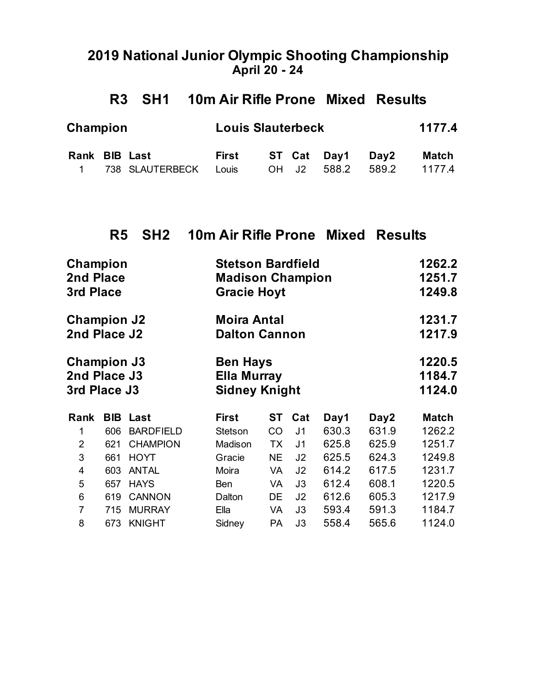#### **2019 National Junior Olympic Shooting Championship April 20 - 24**

### **R3 SH1 10m Air Rifle Prone Mixed Results**

| Champion      |                         | <b>Louis Slauterbeck</b> |  |                   | 1177.4 |
|---------------|-------------------------|--------------------------|--|-------------------|--------|
| Rank BIB Last |                         | First                    |  | ST Cat Day1 Day2  | Match  |
|               | 1 738 SLAUTERBECK Louis |                          |  | OH J2 588.2 589.2 | 1177.4 |

### **R5 SH2 10m Air Rifle Prone Mixed Results**

| Champion<br>2nd Place<br>3rd Place                 |     |                  | <b>Stetson Bardfield</b><br><b>Madison Champion</b><br><b>Gracie Hoyt</b> |                                                               |                |       |       | 1262.2<br>1251.7<br>1249.8 |  |  |  |
|----------------------------------------------------|-----|------------------|---------------------------------------------------------------------------|---------------------------------------------------------------|----------------|-------|-------|----------------------------|--|--|--|
| <b>Champion J2</b><br>2nd Place J2                 |     |                  | <b>Moira Antal</b><br><b>Dalton Cannon</b>                                |                                                               |                |       |       | 1231.7<br>1217.9           |  |  |  |
| <b>Champion J3</b><br>2nd Place J3<br>3rd Place J3 |     |                  |                                                                           | <b>Ben Hays</b><br><b>Ella Murray</b><br><b>Sidney Knight</b> |                |       |       |                            |  |  |  |
| Rank                                               |     | <b>BIB Last</b>  | <b>First</b>                                                              | ST                                                            | Cat            | Day1  | Day2  | <b>Match</b>               |  |  |  |
| 1                                                  | 606 | <b>BARDFIELD</b> | Stetson                                                                   | CO                                                            | J <sub>1</sub> | 630.3 | 631.9 | 1262.2                     |  |  |  |
| $\overline{2}$                                     | 621 | <b>CHAMPION</b>  | Madison                                                                   | TX                                                            | J <sub>1</sub> | 625.8 | 625.9 | 1251.7                     |  |  |  |
| 3                                                  | 661 | <b>HOYT</b>      | Gracie                                                                    | <b>NE</b>                                                     | J <sub>2</sub> | 625.5 | 624.3 | 1249.8                     |  |  |  |
| 4                                                  | 603 | <b>ANTAL</b>     | Moira                                                                     | VA                                                            | J2             | 614.2 | 617.5 | 1231.7                     |  |  |  |
| 5                                                  | 657 | <b>HAYS</b>      | <b>Ben</b>                                                                | VA                                                            | J3             | 612.4 | 608.1 | 1220.5                     |  |  |  |
| 6                                                  | 619 | <b>CANNON</b>    | Dalton                                                                    | DE                                                            | J2             | 612.6 | 605.3 | 1217.9                     |  |  |  |
| $\overline{7}$                                     | 715 | <b>MURRAY</b>    | Ella                                                                      | VA                                                            | J3             | 593.4 | 591.3 | 1184.7                     |  |  |  |
| 8                                                  | 673 | <b>KNIGHT</b>    | Sidney                                                                    | PA                                                            | J3             | 558.4 | 565.6 | 1124.0                     |  |  |  |